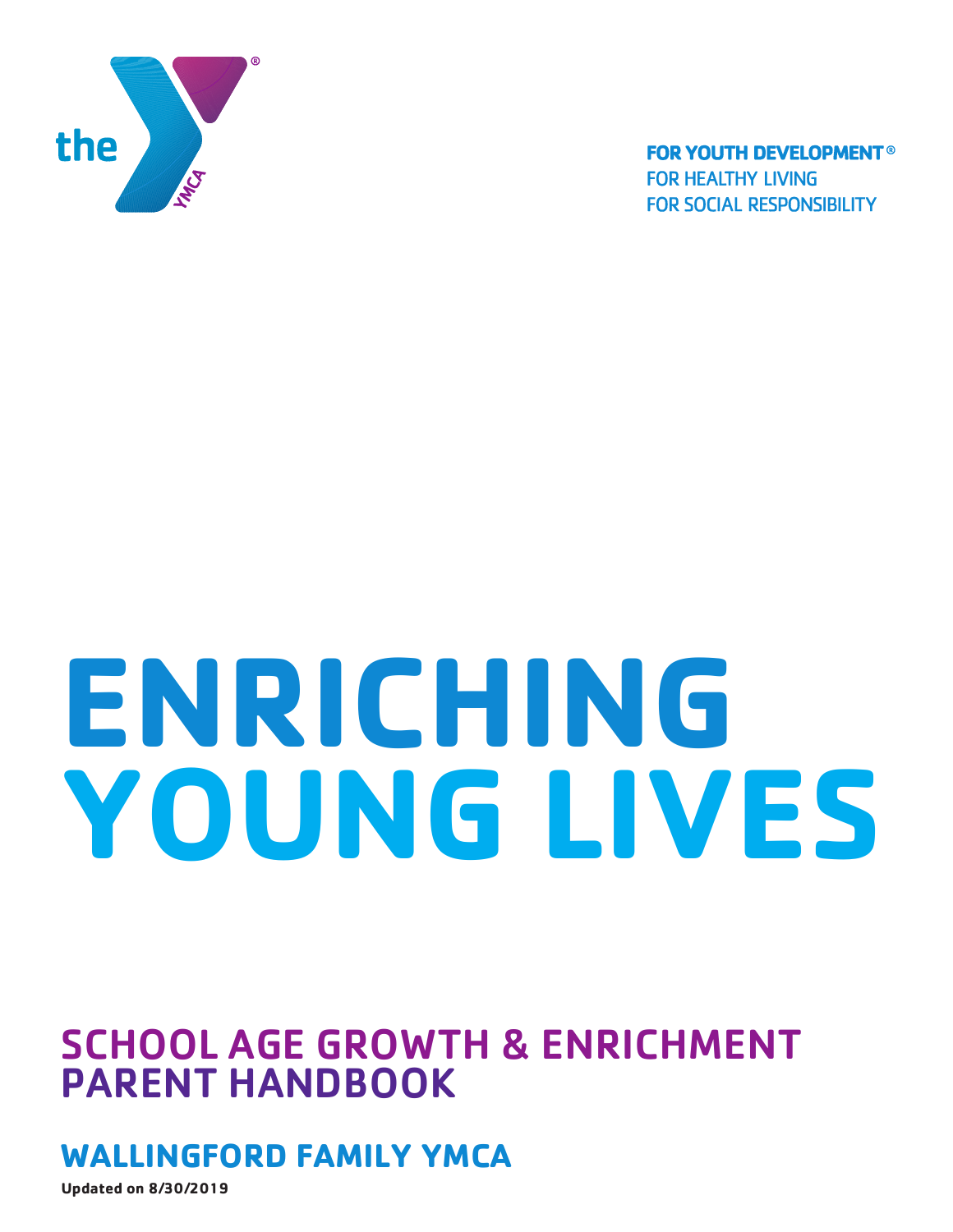

**FOR YOUTH DEVELOPMENT® FOR HEALTHY LIVING FOR SOCIAL RESPONSIBILITY** 

# **ENRICHING YOUNG LIVES**

# SCHOOL AGE GROWTH & ENRICHMENT PARENT HANDBOOK

## **WALLINGFORD FAMILY YMCA**

**Updated on 8/30/2019**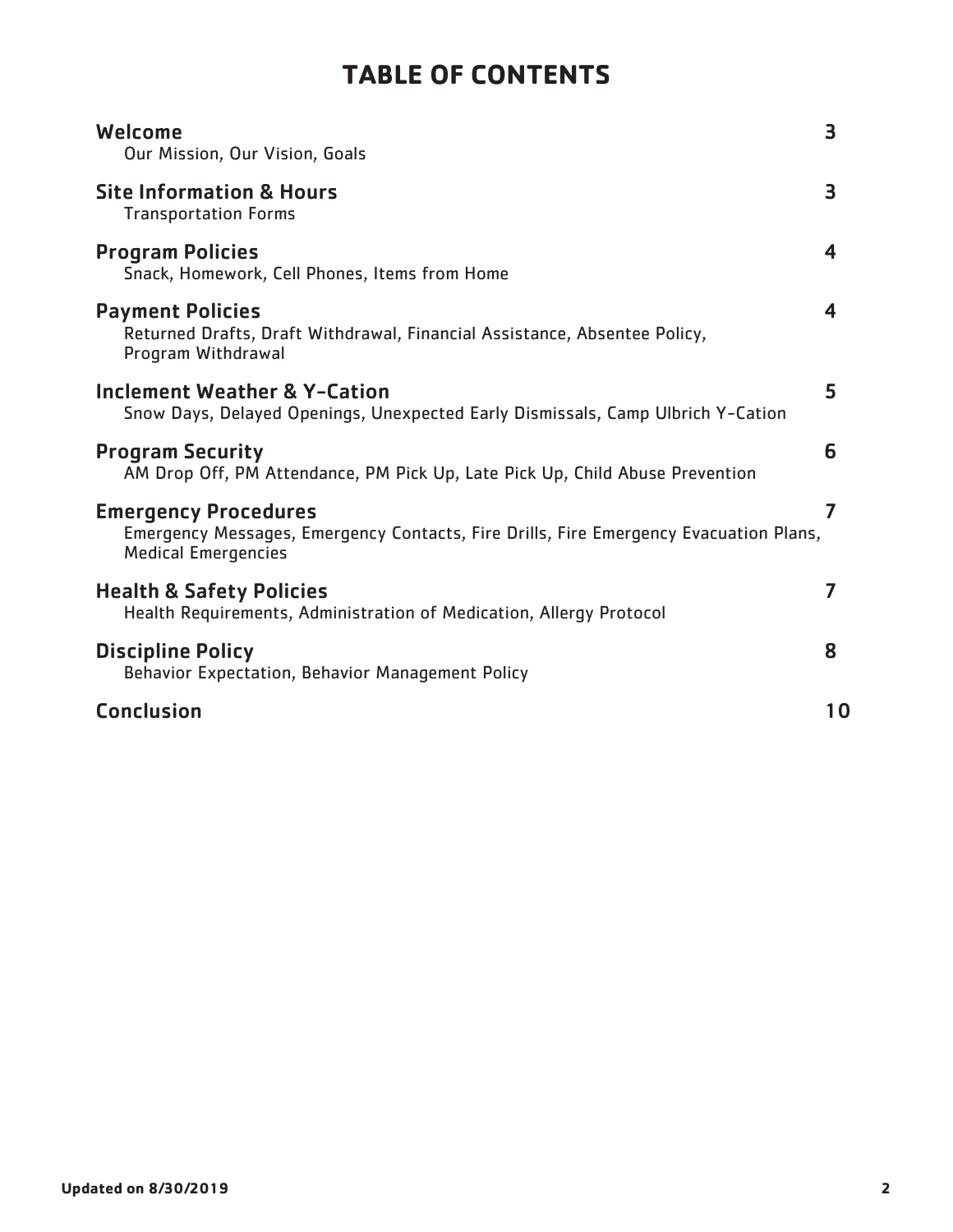## **TABLE OF CONTENTS**

| Welcome<br>Our Mission, Our Vision, Goals                                                                                                          | 3  |
|----------------------------------------------------------------------------------------------------------------------------------------------------|----|
| <b>Site Information &amp; Hours</b><br><b>Transportation Forms</b>                                                                                 | 3  |
| <b>Program Policies</b><br>Snack, Homework, Cell Phones, Items from Home                                                                           | 4  |
| <b>Payment Policies</b><br>Returned Drafts, Draft Withdrawal, Financial Assistance, Absentee Policy,<br>Program Withdrawal                         | 4  |
| <b>Inclement Weather &amp; Y-Cation</b><br>Snow Days, Delayed Openings, Unexpected Early Dismissals, Camp Ulbrich Y-Cation                         | 5  |
| <b>Program Security</b><br>AM Drop Off, PM Attendance, PM Pick Up, Late Pick Up, Child Abuse Prevention                                            | 6  |
| <b>Emergency Procedures</b><br>Emergency Messages, Emergency Contacts, Fire Drills, Fire Emergency Evacuation Plans,<br><b>Medical Emergencies</b> | 7  |
| <b>Health &amp; Safety Policies</b><br>Health Requirements, Administration of Medication, Allergy Protocol                                         | 7  |
| <b>Discipline Policy</b><br>Behavior Expectation, Behavior Management Policy                                                                       | 8  |
| <b>Conclusion</b>                                                                                                                                  | 10 |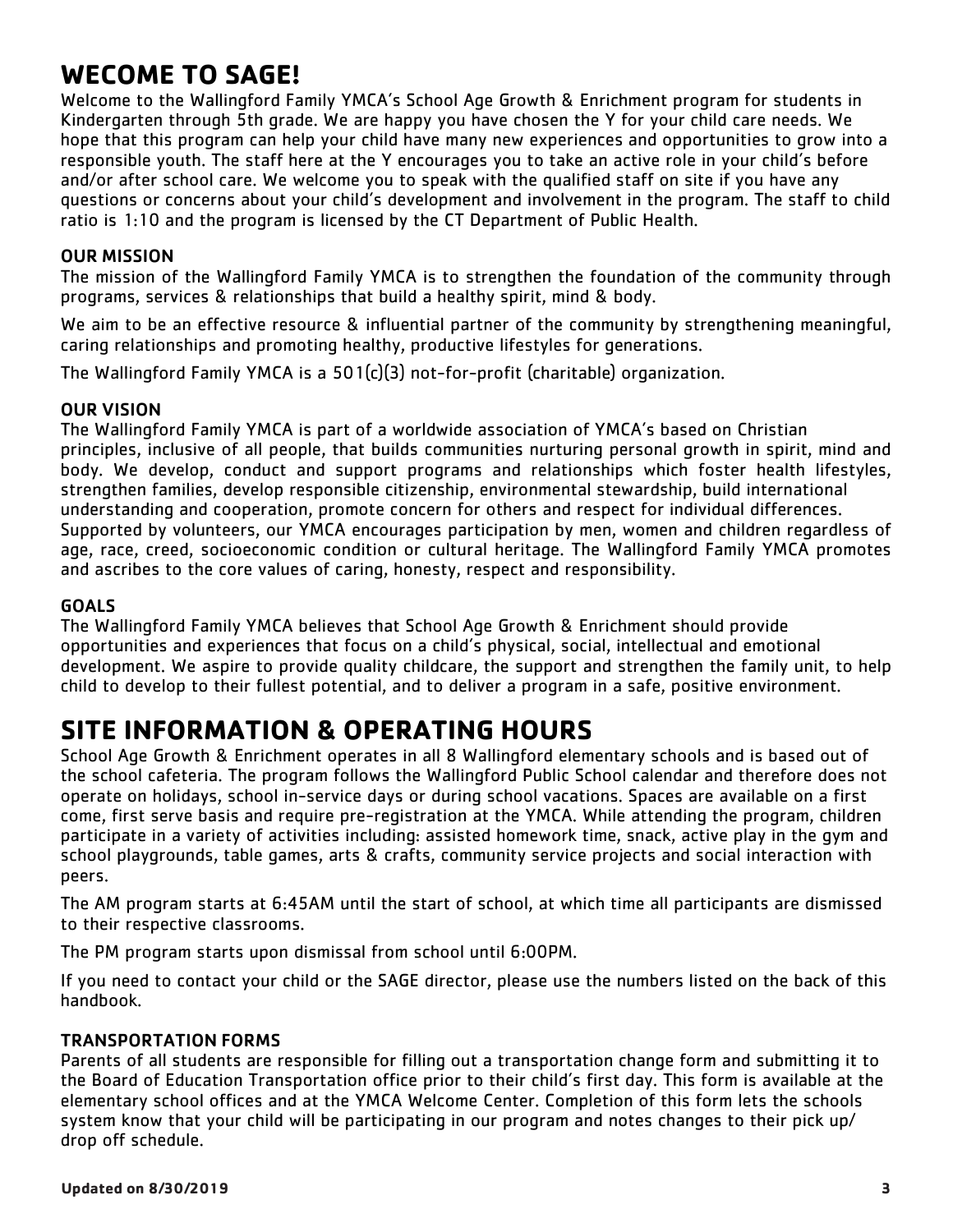## **WECOME TO SAGE!**

Welcome to the Wallingford Family YMCA's School Age Growth & Enrichment program for students in Kindergarten through 5th grade. We are happy you have chosen the Y for your child care needs. We hope that this program can help your child have many new experiences and opportunities to grow into a responsible youth. The staff here at the Y encourages you to take an active role in your child's before and/or after school care. We welcome you to speak with the qualified staff on site if you have any questions or concerns about your child's development and involvement in the program. The staff to child ratio is 1:10 and the program is licensed by the CT Department of Public Health.

#### OUR MISSION

The mission of the Wallingford Family YMCA is to strengthen the foundation of the community through programs, services & relationships that build a healthy spirit, mind & body.

We aim to be an effective resource & influential partner of the community by strengthening meaningful, caring relationships and promoting healthy, productive lifestyles for generations.

The Wallingford Family YMCA is a 501(c)(3) not-for-profit (charitable) organization.

#### OUR VISION

The Wallingford Family YMCA is part of a worldwide association of YMCA's based on Christian principles, inclusive of all people, that builds communities nurturing personal growth in spirit, mind and body. We develop, conduct and support programs and relationships which foster health lifestyles, strengthen families, develop responsible citizenship, environmental stewardship, build international understanding and cooperation, promote concern for others and respect for individual differences. Supported by volunteers, our YMCA encourages participation by men, women and children regardless of age, race, creed, socioeconomic condition or cultural heritage. The Wallingford Family YMCA promotes and ascribes to the core values of caring, honesty, respect and responsibility.

#### GOALS

The Wallingford Family YMCA believes that School Age Growth & Enrichment should provide opportunities and experiences that focus on a child's physical, social, intellectual and emotional development. We aspire to provide quality childcare, the support and strengthen the family unit, to help child to develop to their fullest potential, and to deliver a program in a safe, positive environment.

## **SITE INFORMATION & OPERATING HOURS**

School Age Growth & Enrichment operates in all 8 Wallingford elementary schools and is based out of the school cafeteria. The program follows the Wallingford Public School calendar and therefore does not operate on holidays, school in-service days or during school vacations. Spaces are available on a first come, first serve basis and require pre-registration at the YMCA. While attending the program, children participate in a variety of activities including: assisted homework time, snack, active play in the gym and school playgrounds, table games, arts & crafts, community service projects and social interaction with peers.

The AM program starts at 6:45AM until the start of school, at which time all participants are dismissed to their respective classrooms.

The PM program starts upon dismissal from school until 6:00PM.

If you need to contact your child or the SAGE director, please use the numbers listed on the back of this handbook.

#### TRANSPORTATION FORMS

Parents of all students are responsible for filling out a transportation change form and submitting it to the Board of Education Transportation office prior to their child's first day. This form is available at the elementary school offices and at the YMCA Welcome Center. Completion of this form lets the schools system know that your child will be participating in our program and notes changes to their pick up/ drop off schedule.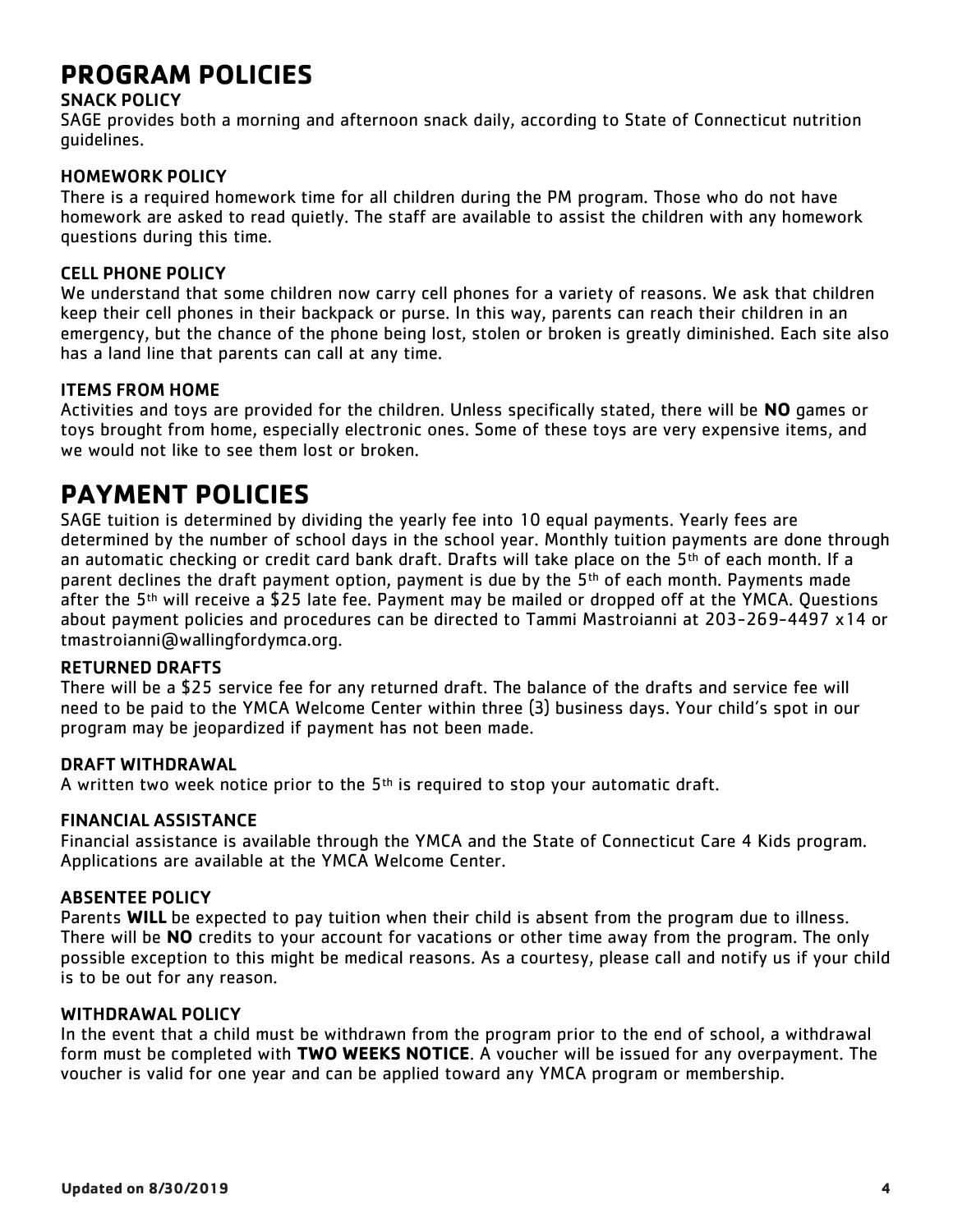## **PROGRAM POLICIES**

#### SNACK POLICY

SAGE provides both a morning and afternoon snack daily, according to State of Connecticut nutrition guidelines.

#### HOMEWORK POLICY

There is a required homework time for all children during the PM program. Those who do not have homework are asked to read quietly. The staff are available to assist the children with any homework questions during this time.

#### CELL PHONE POLICY

We understand that some children now carry cell phones for a variety of reasons. We ask that children keep their cell phones in their backpack or purse. In this way, parents can reach their children in an emergency, but the chance of the phone being lost, stolen or broken is greatly diminished. Each site also has a land line that parents can call at any time.

#### ITEMS FROM HOME

Activities and toys are provided for the children. Unless specifically stated, there will be **NO** games or toys brought from home, especially electronic ones. Some of these toys are very expensive items, and we would not like to see them lost or broken.

## **PAYMENT POLICIES**

SAGE tuition is determined by dividing the yearly fee into 10 equal payments. Yearly fees are determined by the number of school days in the school year. Monthly tuition payments are done through an automatic checking or credit card bank draft. Drafts will take place on the  $5<sup>th</sup>$  of each month. If a parent declines the draft payment option, payment is due by the  $5<sup>th</sup>$  of each month. Payments made after the  $5<sup>th</sup>$  will receive a \$25 late fee. Payment may be mailed or dropped off at the YMCA. Questions about payment policies and procedures can be directed to Tammi Mastroianni at 203-269-4497 x14 or tmastroianni@wallingfordymca.org.

#### RETURNED DRAFTS

There will be a \$25 service fee for any returned draft. The balance of the drafts and service fee will need to be paid to the YMCA Welcome Center within three (3) business days. Your child's spot in our program may be jeopardized if payment has not been made.

#### DRAFT WITHDRAWAL

A written two week notice prior to the  $5<sup>th</sup>$  is required to stop your automatic draft.

#### FINANCIAL ASSISTANCE

Financial assistance is available through the YMCA and the State of Connecticut Care 4 Kids program. Applications are available at the YMCA Welcome Center.

#### ABSENTEE POLICY

Parents **WILL** be expected to pay tuition when their child is absent from the program due to illness. There will be **NO** credits to your account for vacations or other time away from the program. The only possible exception to this might be medical reasons. As a courtesy, please call and notify us if your child is to be out for any reason.

#### WITHDRAWAL POLICY

In the event that a child must be withdrawn from the program prior to the end of school, a withdrawal form must be completed with **TWO WEEKS NOTICE**. A voucher will be issued for any overpayment. The voucher is valid for one year and can be applied toward any YMCA program or membership.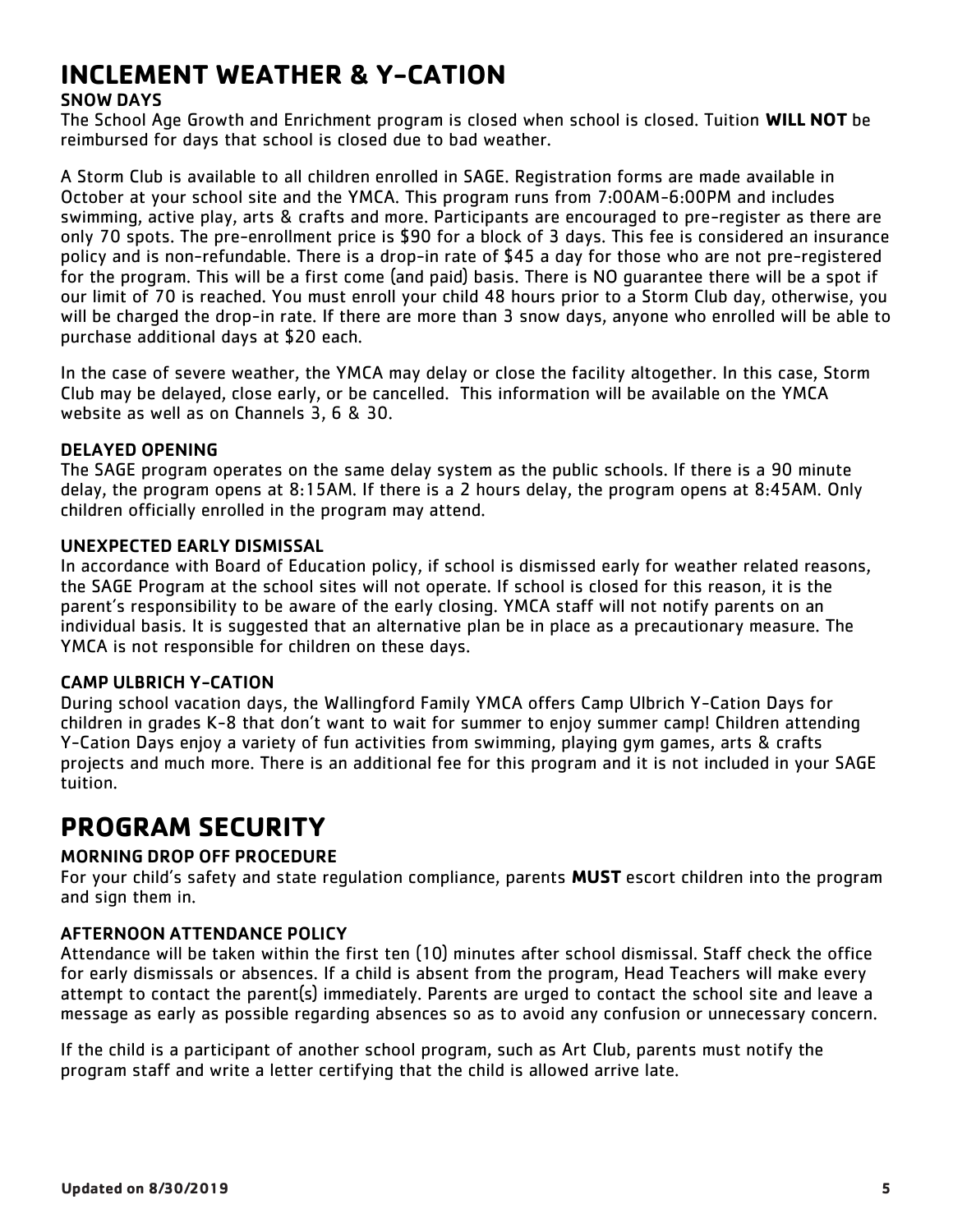## **INCLEMENT WEATHER & Y-CATION**

#### SNOW DAYS

The School Age Growth and Enrichment program is closed when school is closed. Tuition **WILL NOT** be reimbursed for days that school is closed due to bad weather.

A Storm Club is available to all children enrolled in SAGE. Registration forms are made available in October at your school site and the YMCA. This program runs from 7:00AM-6:00PM and includes swimming, active play, arts & crafts and more. Participants are encouraged to pre-register as there are only 70 spots. The pre-enrollment price is \$90 for a block of 3 days. This fee is considered an insurance policy and is non-refundable. There is a drop-in rate of \$45 a day for those who are not pre-registered for the program. This will be a first come (and paid) basis. There is NO guarantee there will be a spot if our limit of 70 is reached. You must enroll your child 48 hours prior to a Storm Club day, otherwise, you will be charged the drop-in rate. If there are more than 3 snow days, anyone who enrolled will be able to purchase additional days at \$20 each.

In the case of severe weather, the YMCA may delay or close the facility altogether. In this case, Storm Club may be delayed, close early, or be cancelled. This information will be available on the YMCA website as well as on Channels 3, 6 & 30.

#### DELAYED OPENING

The SAGE program operates on the same delay system as the public schools. If there is a 90 minute delay, the program opens at 8:15AM. If there is a 2 hours delay, the program opens at 8:45AM. Only children officially enrolled in the program may attend.

#### UNEXPECTED EARLY DISMISSAL

In accordance with Board of Education policy, if school is dismissed early for weather related reasons, the SAGE Program at the school sites will not operate. If school is closed for this reason, it is the parent's responsibility to be aware of the early closing. YMCA staff will not notify parents on an individual basis. It is suggested that an alternative plan be in place as a precautionary measure. The YMCA is not responsible for children on these days.

#### CAMP ULBRICH Y-CATION

During school vacation days, the Wallingford Family YMCA offers Camp Ulbrich Y-Cation Days for children in grades K-8 that don't want to wait for summer to enjoy summer camp! Children attending Y-Cation Days enjoy a variety of fun activities from swimming, playing gym games, arts & crafts projects and much more. There is an additional fee for this program and it is not included in your SAGE tuition.

## **PROGRAM SECURITY**

#### MORNING DROP OFF PROCEDURE

For your child's safety and state regulation compliance, parents **MUST** escort children into the program and sign them in.

#### AFTERNOON ATTENDANCE POLICY

Attendance will be taken within the first ten (10) minutes after school dismissal. Staff check the office for early dismissals or absences. If a child is absent from the program, Head Teachers will make every attempt to contact the parent(s) immediately. Parents are urged to contact the school site and leave a message as early as possible regarding absences so as to avoid any confusion or unnecessary concern.

If the child is a participant of another school program, such as Art Club, parents must notify the program staff and write a letter certifying that the child is allowed arrive late.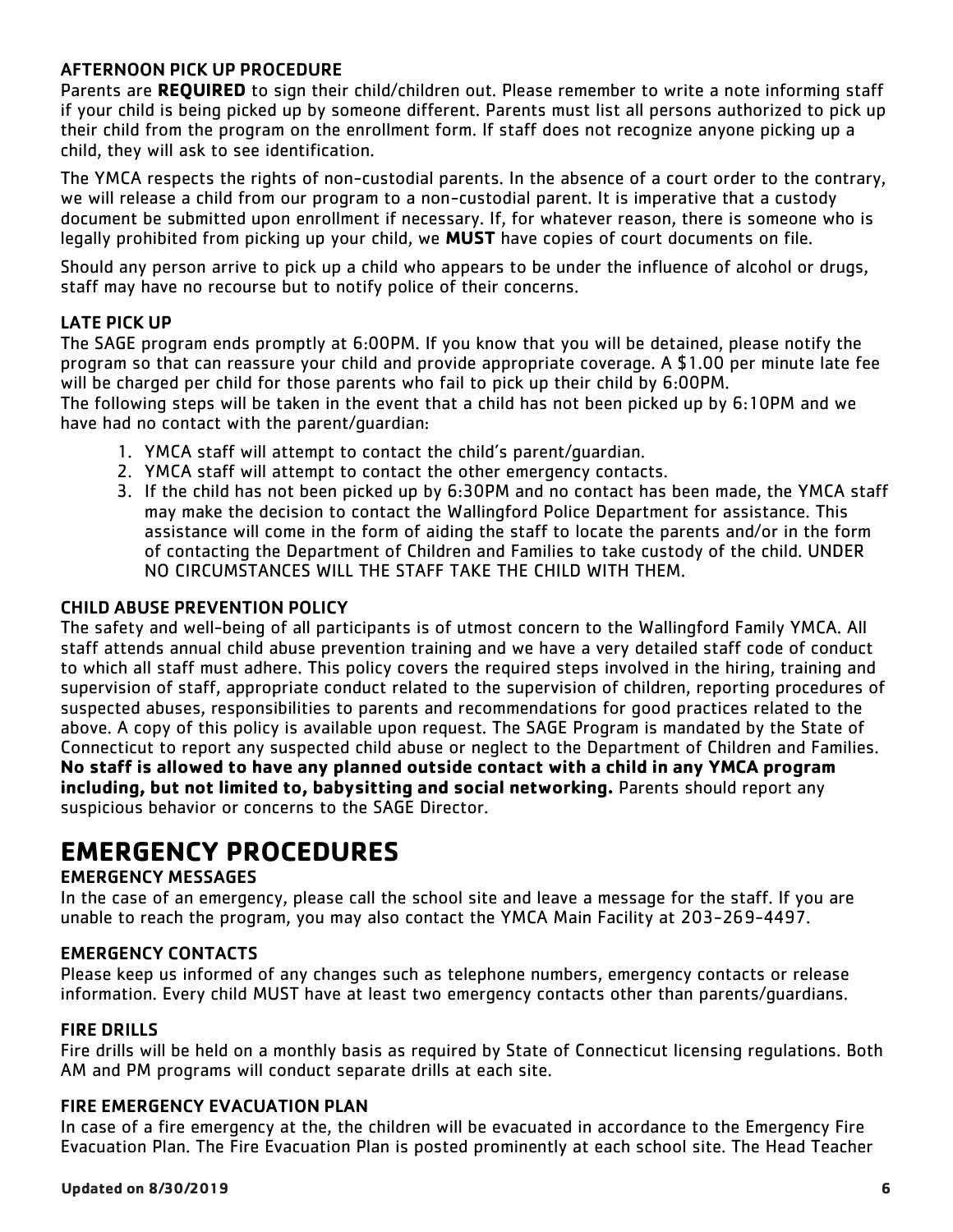#### AFTERNOON PICK UP PROCEDURE

Parents are **REQUIRED** to sign their child/children out. Please remember to write a note informing staff if your child is being picked up by someone different. Parents must list all persons authorized to pick up their child from the program on the enrollment form. If staff does not recognize anyone picking up a child, they will ask to see identification.

The YMCA respects the rights of non-custodial parents. In the absence of a court order to the contrary, we will release a child from our program to a non-custodial parent. It is imperative that a custody document be submitted upon enrollment if necessary. If, for whatever reason, there is someone who is legally prohibited from picking up your child, we **MUST** have copies of court documents on file.

Should any person arrive to pick up a child who appears to be under the influence of alcohol or drugs, staff may have no recourse but to notify police of their concerns.

#### LATE PICK UP

The SAGE program ends promptly at 6:00PM. If you know that you will be detained, please notify the program so that can reassure your child and provide appropriate coverage. A \$1.00 per minute late fee will be charged per child for those parents who fail to pick up their child by 6:00PM.

The following steps will be taken in the event that a child has not been picked up by 6:10PM and we have had no contact with the parent/guardian:

- 1. YMCA staff will attempt to contact the child's parent/guardian.
- 2. YMCA staff will attempt to contact the other emergency contacts.
- 3. If the child has not been picked up by 6:30PM and no contact has been made, the YMCA staff may make the decision to contact the Wallingford Police Department for assistance. This assistance will come in the form of aiding the staff to locate the parents and/or in the form of contacting the Department of Children and Families to take custody of the child. UNDER NO CIRCUMSTANCES WILL THE STAFF TAKE THE CHILD WITH THEM.

#### CHILD ABUSE PREVENTION POLICY

The safety and well-being of all participants is of utmost concern to the Wallingford Family YMCA. All staff attends annual child abuse prevention training and we have a very detailed staff code of conduct to which all staff must adhere. This policy covers the required steps involved in the hiring, training and supervision of staff, appropriate conduct related to the supervision of children, reporting procedures of suspected abuses, responsibilities to parents and recommendations for good practices related to the above. A copy of this policy is available upon request. The SAGE Program is mandated by the State of Connecticut to report any suspected child abuse or neglect to the Department of Children and Families. **No staff is allowed to have any planned outside contact with a child in any YMCA program including, but not limited to, babysitting and social networking.** Parents should report any suspicious behavior or concerns to the SAGE Director.

## **EMERGENCY PROCEDURES**

#### EMERGENCY MESSAGES

In the case of an emergency, please call the school site and leave a message for the staff. If you are unable to reach the program, you may also contact the YMCA Main Facility at 203-269-4497.

#### EMERGENCY CONTACTS

Please keep us informed of any changes such as telephone numbers, emergency contacts or release information. Every child MUST have at least two emergency contacts other than parents/guardians.

#### FIRE DRILLS

Fire drills will be held on a monthly basis as required by State of Connecticut licensing regulations. Both AM and PM programs will conduct separate drills at each site.

#### FIRE EMERGENCY EVACUATION PLAN

In case of a fire emergency at the, the children will be evacuated in accordance to the Emergency Fire Evacuation Plan. The Fire Evacuation Plan is posted prominently at each school site. The Head Teacher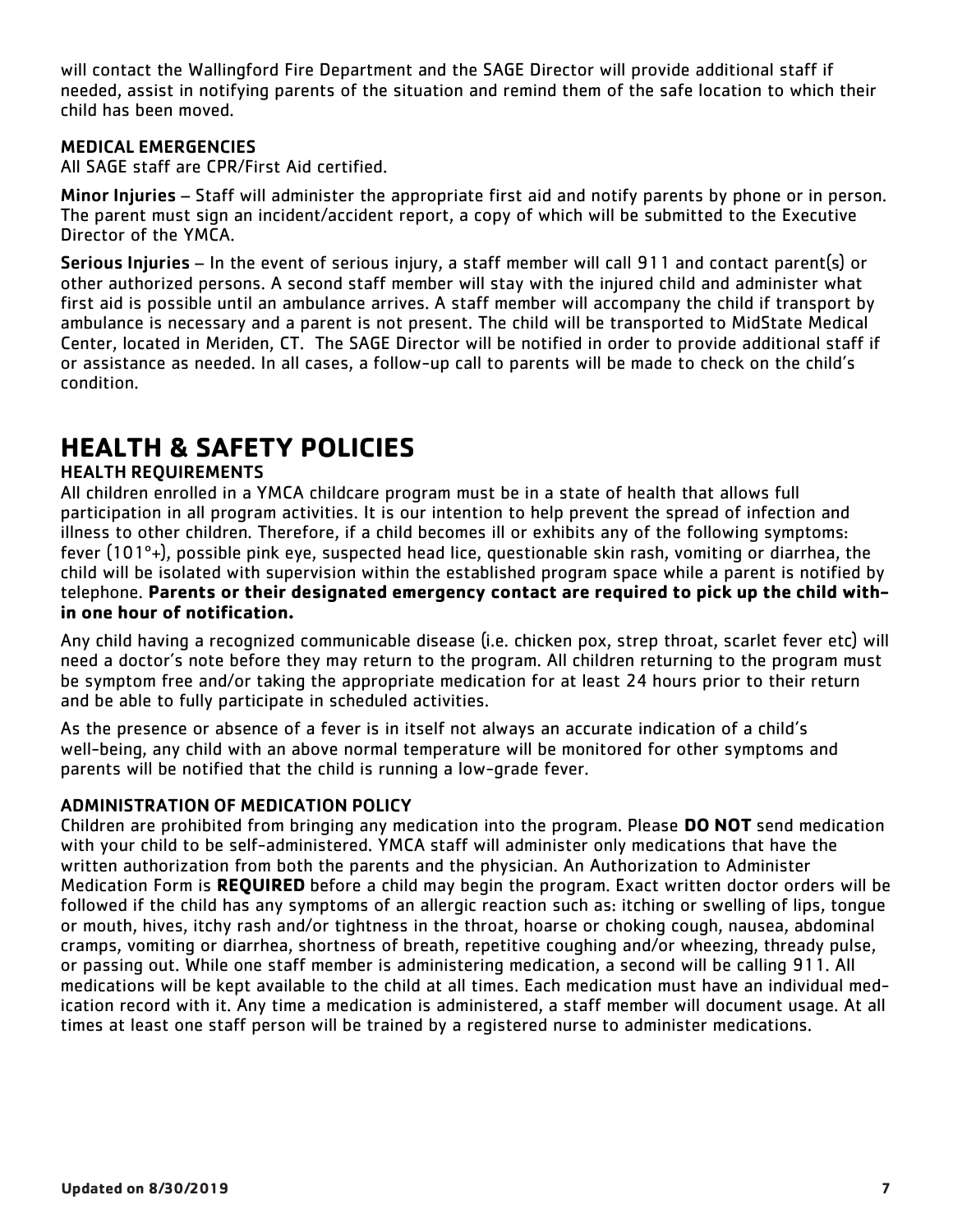will contact the Wallingford Fire Department and the SAGE Director will provide additional staff if needed, assist in notifying parents of the situation and remind them of the safe location to which their child has been moved.

#### MEDICAL EMERGENCIES

All SAGE staff are CPR/First Aid certified.

Minor Injuries – Staff will administer the appropriate first aid and notify parents by phone or in person. The parent must sign an incident/accident report, a copy of which will be submitted to the Executive Director of the YMCA.

Serious Injuries – In the event of serious injury, a staff member will call 911 and contact parent(s) or other authorized persons. A second staff member will stay with the injured child and administer what first aid is possible until an ambulance arrives. A staff member will accompany the child if transport by ambulance is necessary and a parent is not present. The child will be transported to MidState Medical Center, located in Meriden, CT. The SAGE Director will be notified in order to provide additional staff if or assistance as needed. In all cases, a follow-up call to parents will be made to check on the child's condition.

## **HEALTH & SAFETY POLICIES**

#### HEALTH REQUIREMENTS

All children enrolled in a YMCA childcare program must be in a state of health that allows full participation in all program activities. It is our intention to help prevent the spread of infection and illness to other children. Therefore, if a child becomes ill or exhibits any of the following symptoms: fever (101º+), possible pink eye, suspected head lice, questionable skin rash, vomiting or diarrhea, the child will be isolated with supervision within the established program space while a parent is notified by telephone. **Parents or their designated emergency contact are required to pick up the child within one hour of notification.** 

Any child having a recognized communicable disease (i.e. chicken pox, strep throat, scarlet fever etc) will need a doctor's note before they may return to the program. All children returning to the program must be symptom free and/or taking the appropriate medication for at least 24 hours prior to their return and be able to fully participate in scheduled activities.

As the presence or absence of a fever is in itself not always an accurate indication of a child's well-being, any child with an above normal temperature will be monitored for other symptoms and parents will be notified that the child is running a low-grade fever.

#### ADMINISTRATION OF MEDICATION POLICY

Children are prohibited from bringing any medication into the program. Please **DO NOT** send medication with your child to be self-administered. YMCA staff will administer only medications that have the written authorization from both the parents and the physician. An Authorization to Administer Medication Form is **REQUIRED** before a child may begin the program. Exact written doctor orders will be followed if the child has any symptoms of an allergic reaction such as: itching or swelling of lips, tongue or mouth, hives, itchy rash and/or tightness in the throat, hoarse or choking cough, nausea, abdominal cramps, vomiting or diarrhea, shortness of breath, repetitive coughing and/or wheezing, thready pulse, or passing out. While one staff member is administering medication, a second will be calling 911. All medications will be kept available to the child at all times. Each medication must have an individual medication record with it. Any time a medication is administered, a staff member will document usage. At all times at least one staff person will be trained by a registered nurse to administer medications.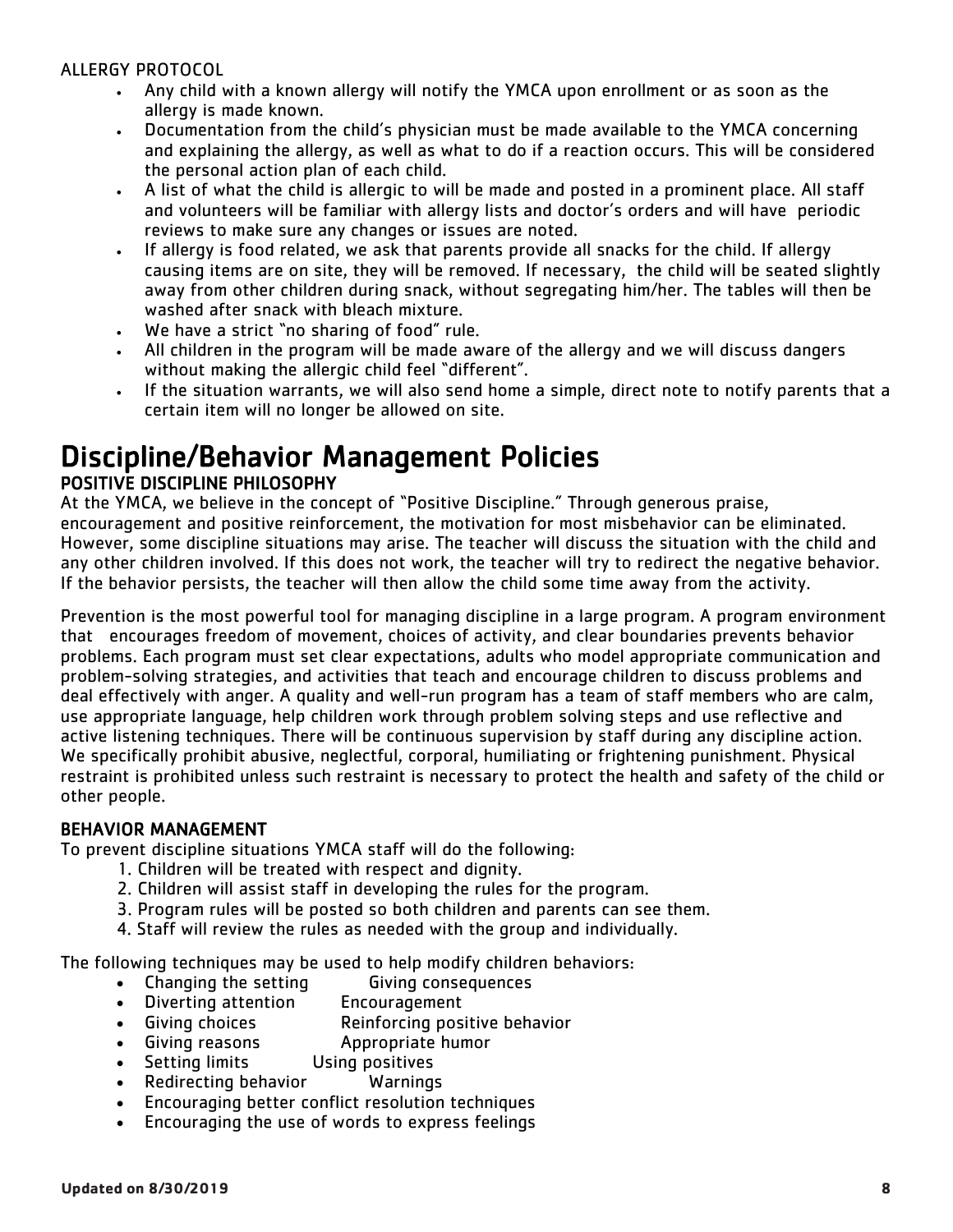#### ALLERGY PROTOCOL

- Any child with a known allergy will notify the YMCA upon enrollment or as soon as the allergy is made known.
- Documentation from the child's physician must be made available to the YMCA concerning and explaining the allergy, as well as what to do if a reaction occurs. This will be considered the personal action plan of each child.
- A list of what the child is allergic to will be made and posted in a prominent place. All staff and volunteers will be familiar with allergy lists and doctor's orders and will have periodic reviews to make sure any changes or issues are noted.
- If allergy is food related, we ask that parents provide all snacks for the child. If allergy causing items are on site, they will be removed. If necessary, the child will be seated slightly away from other children during snack, without segregating him/her. The tables will then be washed after snack with bleach mixture.
- We have a strict "no sharing of food" rule.
- All children in the program will be made aware of the allergy and we will discuss dangers without making the allergic child feel "different".
- If the situation warrants, we will also send home a simple, direct note to notify parents that a certain item will no longer be allowed on site.

#### Discipline/Behavior Management Policies POSITIVE DISCIPLINE PHILOSOPHY

At the YMCA, we believe in the concept of "Positive Discipline." Through generous praise, encouragement and positive reinforcement, the motivation for most misbehavior can be eliminated. However, some discipline situations may arise. The teacher will discuss the situation with the child and any other children involved. If this does not work, the teacher will try to redirect the negative behavior. If the behavior persists, the teacher will then allow the child some time away from the activity.

Prevention is the most powerful tool for managing discipline in a large program. A program environment that encourages freedom of movement, choices of activity, and clear boundaries prevents behavior problems. Each program must set clear expectations, adults who model appropriate communication and problem-solving strategies, and activities that teach and encourage children to discuss problems and deal effectively with anger. A quality and well-run program has a team of staff members who are calm, use appropriate language, help children work through problem solving steps and use reflective and active listening techniques. There will be continuous supervision by staff during any discipline action. We specifically prohibit abusive, neglectful, corporal, humiliating or frightening punishment. Physical restraint is prohibited unless such restraint is necessary to protect the health and safety of the child or other people.

#### BEHAVIOR MANAGEMENT

To prevent discipline situations YMCA staff will do the following:

- 1. Children will be treated with respect and dignity.
- 2. Children will assist staff in developing the rules for the program.
- 3. Program rules will be posted so both children and parents can see them.
- 4. Staff will review the rules as needed with the group and individually.

The following techniques may be used to help modify children behaviors:

- Changing the setting Giving consequences
- Diverting attention Encouragement
- Giving choices Reinforcing positive behavior
- Giving reasons Appropriate humor
- Setting limits Using positives
- Redirecting behavior Warnings
- Encouraging better conflict resolution techniques
- Encouraging the use of words to express feelings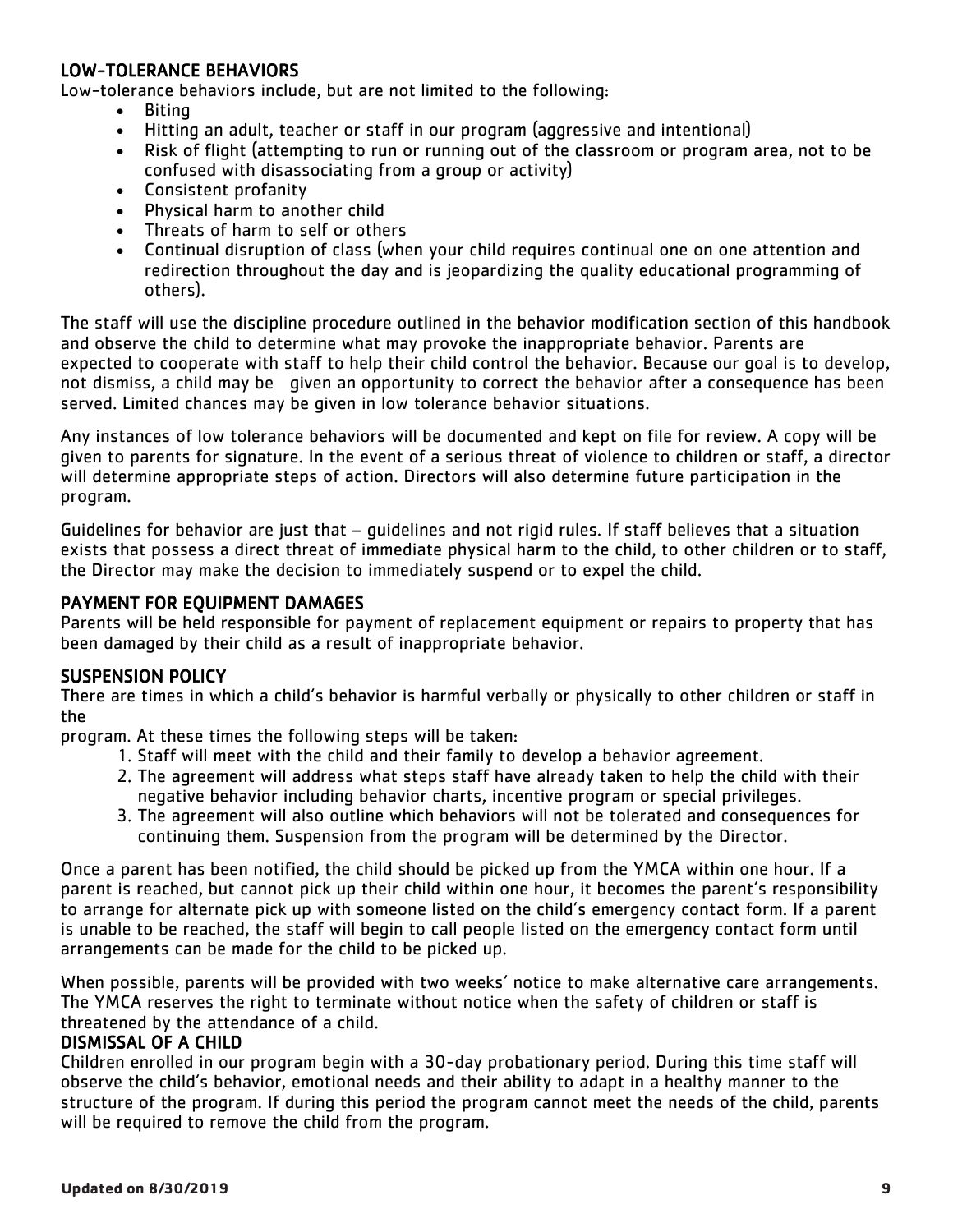#### LOW-TOLERANCE BEHAVIORS

Low-tolerance behaviors include, but are not limited to the following:

- Biting
- Hitting an adult, teacher or staff in our program (aggressive and intentional)
- Risk of flight (attempting to run or running out of the classroom or program area, not to be confused with disassociating from a group or activity)
- Consistent profanity
- Physical harm to another child
- Threats of harm to self or others
- Continual disruption of class (when your child requires continual one on one attention and redirection throughout the day and is jeopardizing the quality educational programming of others).

The staff will use the discipline procedure outlined in the behavior modification section of this handbook and observe the child to determine what may provoke the inappropriate behavior. Parents are expected to cooperate with staff to help their child control the behavior. Because our goal is to develop, not dismiss, a child may be given an opportunity to correct the behavior after a consequence has been served. Limited chances may be given in low tolerance behavior situations.

Any instances of low tolerance behaviors will be documented and kept on file for review. A copy will be given to parents for signature. In the event of a serious threat of violence to children or staff, a director will determine appropriate steps of action. Directors will also determine future participation in the program.

Guidelines for behavior are just that – guidelines and not rigid rules. If staff believes that a situation exists that possess a direct threat of immediate physical harm to the child, to other children or to staff, the Director may make the decision to immediately suspend or to expel the child.

#### PAYMENT FOR EQUIPMENT DAMAGES

Parents will be held responsible for payment of replacement equipment or repairs to property that has been damaged by their child as a result of inappropriate behavior.

#### SUSPENSION POLICY

There are times in which a child's behavior is harmful verbally or physically to other children or staff in the

program. At these times the following steps will be taken:

- 1. Staff will meet with the child and their family to develop a behavior agreement.
- 2. The agreement will address what steps staff have already taken to help the child with their negative behavior including behavior charts, incentive program or special privileges.
- 3. The agreement will also outline which behaviors will not be tolerated and consequences for continuing them. Suspension from the program will be determined by the Director.

Once a parent has been notified, the child should be picked up from the YMCA within one hour. If a parent is reached, but cannot pick up their child within one hour, it becomes the parent's responsibility to arrange for alternate pick up with someone listed on the child's emergency contact form. If a parent is unable to be reached, the staff will begin to call people listed on the emergency contact form until arrangements can be made for the child to be picked up.

When possible, parents will be provided with two weeks' notice to make alternative care arrangements. The YMCA reserves the right to terminate without notice when the safety of children or staff is threatened by the attendance of a child.

#### DISMISSAL OF A CHILD

Children enrolled in our program begin with a 30-day probationary period. During this time staff will observe the child's behavior, emotional needs and their ability to adapt in a healthy manner to the structure of the program. If during this period the program cannot meet the needs of the child, parents will be required to remove the child from the program.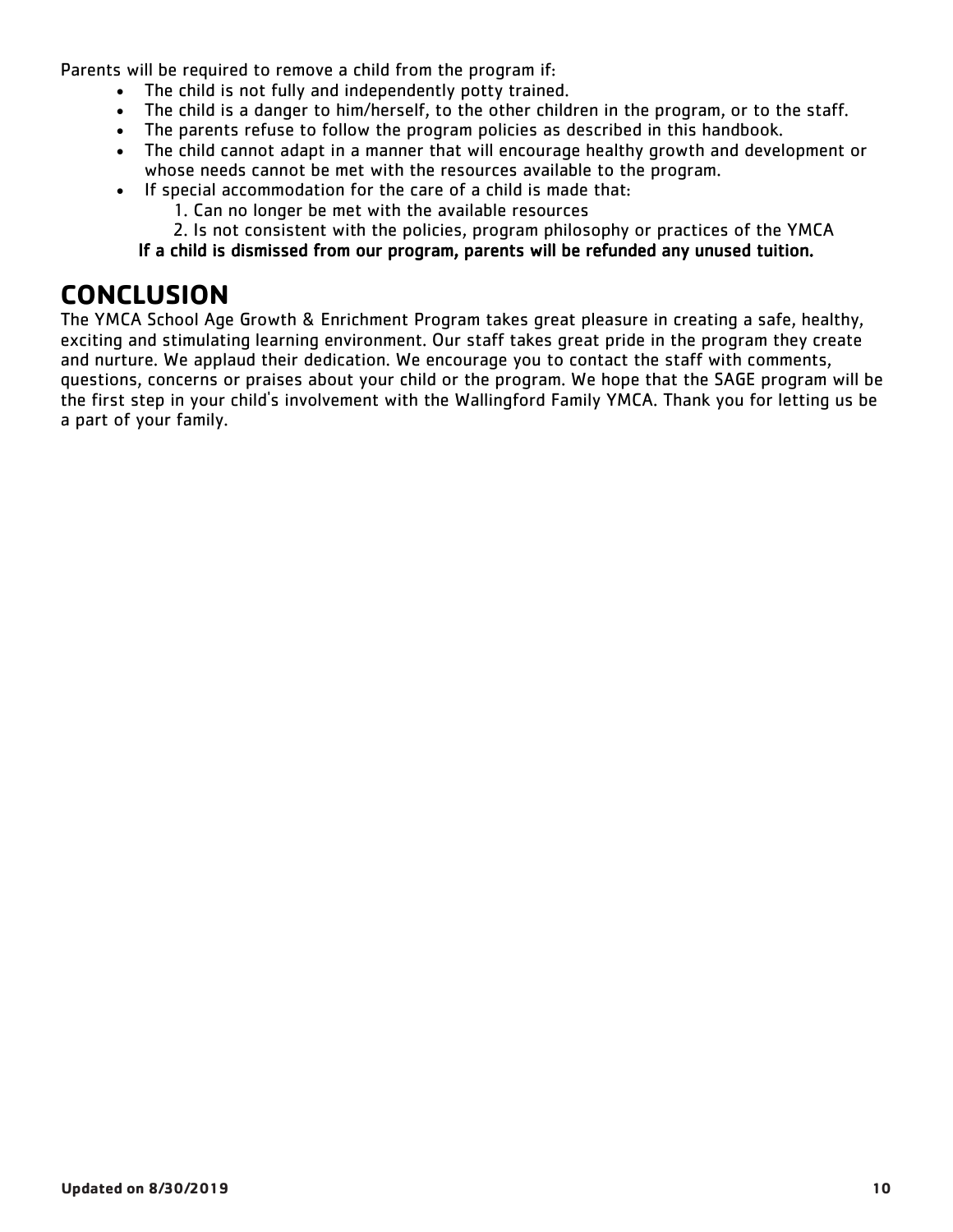Parents will be required to remove a child from the program if:

- The child is not fully and independently potty trained.
- The child is a danger to him/herself, to the other children in the program, or to the staff.
- The parents refuse to follow the program policies as described in this handbook.
- The child cannot adapt in a manner that will encourage healthy growth and development or whose needs cannot be met with the resources available to the program.
- If special accommodation for the care of a child is made that:
	- 1. Can no longer be met with the available resources
	- 2. Is not consistent with the policies, program philosophy or practices of the YMCA

#### If a child is dismissed from our program, parents will be refunded any unused tuition.

## **CONCLUSION**

The YMCA School Age Growth & Enrichment Program takes great pleasure in creating a safe, healthy, exciting and stimulating learning environment. Our staff takes great pride in the program they create and nurture. We applaud their dedication. We encourage you to contact the staff with comments, questions, concerns or praises about your child or the program. We hope that the SAGE program will be the first step in your child's involvement with the Wallingford Family YMCA. Thank you for letting us be a part of your family.